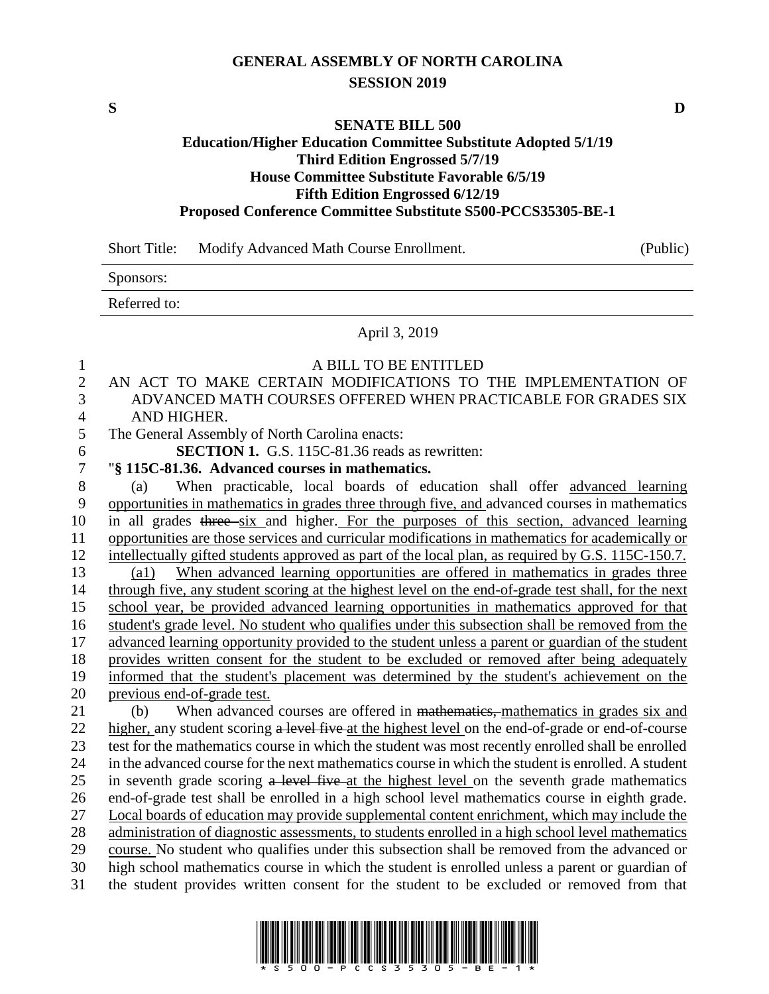# **GENERAL ASSEMBLY OF NORTH CAROLINA SESSION 2019**

**S D**

#### **SENATE BILL 500**

## **Education/Higher Education Committee Substitute Adopted 5/1/19 Third Edition Engrossed 5/7/19 House Committee Substitute Favorable 6/5/19 Fifth Edition Engrossed 6/12/19 Proposed Conference Committee Substitute S500-PCCS35305-BE-1**

Short Title: Modify Advanced Math Course Enrollment. (Public)

Sponsors:

Referred to:

## April 3, 2019

| $\mathbf{1}$   | A BILL TO BE ENTITLED                                                                                                                                                                             |
|----------------|---------------------------------------------------------------------------------------------------------------------------------------------------------------------------------------------------|
| $\overline{2}$ | AN ACT TO MAKE CERTAIN MODIFICATIONS TO THE IMPLEMENTATION OF                                                                                                                                     |
| 3              | ADVANCED MATH COURSES OFFERED WHEN PRACTICABLE FOR GRADES SIX                                                                                                                                     |
| $\overline{4}$ | AND HIGHER.                                                                                                                                                                                       |
| 5              | The General Assembly of North Carolina enacts:                                                                                                                                                    |
| 6              | <b>SECTION 1.</b> G.S. 115C-81.36 reads as rewritten:                                                                                                                                             |
| 7              | "§ 115C-81.36. Advanced courses in mathematics.                                                                                                                                                   |
| 8              | When practicable, local boards of education shall offer advanced learning<br>(a)                                                                                                                  |
| 9              | opportunities in mathematics in grades three through five, and advanced courses in mathematics                                                                                                    |
| 10             | in all grades three six and higher. For the purposes of this section, advanced learning                                                                                                           |
| 11             | opportunities are those services and curricular modifications in mathematics for academically or                                                                                                  |
| 12             | intellectually gifted students approved as part of the local plan, as required by G.S. 115C-150.7.                                                                                                |
| 13             | When advanced learning opportunities are offered in mathematics in grades three<br>$\left( a1\right)$                                                                                             |
| 14             | through five, any student scoring at the highest level on the end-of-grade test shall, for the next                                                                                               |
| 15             | school year, be provided advanced learning opportunities in mathematics approved for that                                                                                                         |
| 16             | student's grade level. No student who qualifies under this subsection shall be removed from the                                                                                                   |
| 17             | advanced learning opportunity provided to the student unless a parent or guardian of the student                                                                                                  |
| 18             | provides written consent for the student to be excluded or removed after being adequately                                                                                                         |
| 19             | informed that the student's placement was determined by the student's achievement on the                                                                                                          |
| 20             | previous end-of-grade test.                                                                                                                                                                       |
| 21             | When advanced courses are offered in mathematics, mathematics in grades six and<br>(b)                                                                                                            |
| 22             | higher, any student scoring a level five at the highest level on the end-of-grade or end-of-course                                                                                                |
| 23             | test for the mathematics course in which the student was most recently enrolled shall be enrolled                                                                                                 |
| 24             | in the advanced course for the next mathematics course in which the student is enrolled. A student                                                                                                |
| 25             | in seventh grade scoring a level five at the highest level on the seventh grade mathematics                                                                                                       |
| 26             | end-of-grade test shall be enrolled in a high school level mathematics course in eighth grade.                                                                                                    |
| 27<br>28       | Local boards of education may provide supplemental content enrichment, which may include the                                                                                                      |
| 29             | administration of diagnostic assessments, to students enrolled in a high school level mathematics<br>course. No student who qualifies under this subsection shall be removed from the advanced or |
| 30             | high school mathematics course in which the student is enrolled unless a parent or guardian of                                                                                                    |
| 31             | the student provides written consent for the student to be excluded or removed from that                                                                                                          |
|                |                                                                                                                                                                                                   |